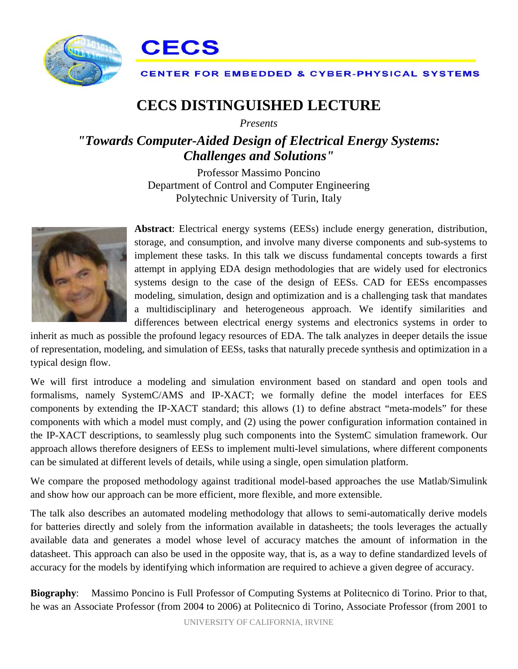



## **CENTER FOR EMBEDDED & CYBER-PHYSICAL SYSTEMS**

## **CECS DISTINGUISHED LECTURE**

*Presents*

## *"Towards Computer-Aided Design of Electrical Energy Systems: Challenges and Solutions"*

Professor Massimo Poncino Department of Control and Computer Engineering Polytechnic University of Turin, Italy



**Abstract**: Electrical energy systems (EESs) include energy generation, distribution, storage, and consumption, and involve many diverse components and sub-systems to implement these tasks. In this talk we discuss fundamental concepts towards a first attempt in applying EDA design methodologies that are widely used for electronics systems design to the case of the design of EESs. CAD for EESs encompasses modeling, simulation, design and optimization and is a challenging task that mandates a multidisciplinary and heterogeneous approach. We identify similarities and differences between electrical energy systems and electronics systems in order to

inherit as much as possible the profound legacy resources of EDA. The talk analyzes in deeper details the issue of representation, modeling, and simulation of EESs, tasks that naturally precede synthesis and optimization in a typical design flow.

We will first introduce a modeling and simulation environment based on standard and open tools and formalisms, namely SystemC/AMS and IP-XACT; we formally define the model interfaces for EES components by extending the IP-XACT standard; this allows (1) to define abstract "meta-models" for these components with which a model must comply, and (2) using the power configuration information contained in the IP-XACT descriptions, to seamlessly plug such components into the SystemC simulation framework. Our approach allows therefore designers of EESs to implement multi-level simulations, where different components can be simulated at different levels of details, while using a single, open simulation platform.

We compare the proposed methodology against traditional model-based approaches the use Matlab/Simulink and show how our approach can be more efficient, more flexible, and more extensible.

The talk also describes an automated modeling methodology that allows to semi-automatically derive models for batteries directly and solely from the information available in datasheets; the tools leverages the actually available data and generates a model whose level of accuracy matches the amount of information in the datasheet. This approach can also be used in the opposite way, that is, as a way to define standardized levels of accuracy for the models by identifying which information are required to achieve a given degree of accuracy.

**Biography**: Massimo Poncino is Full Professor of Computing Systems at Politecnico di Torino. Prior to that, he was an Associate Professor (from 2004 to 2006) at Politecnico di Torino, Associate Professor (from 2001 to